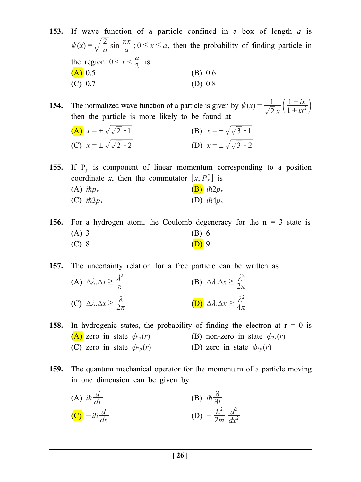**153.** If wave function of a particle confined in a box of length *a* is  $\psi(x) = \sqrt{\frac{2}{a}} \sin \frac{\pi x}{a}$ ;  $0 \le x \le a$ , then the probability of finding particle in the region  $0 < x < \frac{a}{2}$  is  $(A)$  0.5 (B) 0.6 (C) 0.7 (D) 0.8

**154.** The normalized wave function of a particle is given by  $\psi(x) = \frac{1}{\sqrt{2}x} \left( \frac{1 + ix}{1 + ix} \right)$ *ix*  $\psi(x) = \frac{1}{\sqrt{2}x} \left( \frac{1+ix}{1+ix^2} \right)$ then the particle is more likely to be found at

(A)  $x = \pm \sqrt{2 - 1}$  (B)  $x = \pm \sqrt{3 - 1}$ (C)  $x = \sqrt{\sqrt{2} - 2}$  (D)  $x = \sqrt{\sqrt{3} - 2}$ 

**155.** If  $P_r$  is component of linear momentum corresponding to a position coordinate *x*, then the commutator  $[x, P_x^2]$  is (A)  $i\hbar p_x$  (B)  $i\hbar 2p_x$ (C)  $i\hbar 3p_x$  (D)  $i\hbar 4p_x$ 

**156.** For a hydrogen atom, the Coulomb degeneracy for the  $n = 3$  state is  $(A) 3$  (B) 6 (C) 8 (D) 9

**157.** The uncertainty relation for a free particle can be written as

(A) 
$$
\Delta \lambda . \Delta x \ge \frac{\lambda^2}{\pi}
$$
  
\n(B)  $\Delta \lambda . \Delta x \ge \frac{\lambda^2}{2\pi}$   
\n(C)  $\Delta \lambda . \Delta x \ge \frac{\lambda}{2\pi}$   
\n(D)  $\Delta \lambda . \Delta x \ge \frac{\lambda^2}{4\pi}$ 

**158.** In hydrogenic states, the probability of finding the electron at  $r = 0$  is (A) zero in state  $\phi_{1s}(r)$  (B) non-zero in state  $\phi_{2s}(r)$ (C) zero in state  $\phi_{2p}(r)$  (D) zero in state  $\phi_{3p}(r)$ 

**159.** The quantum mechanical operator for the momentum of a particle moving in one dimension can be given by

(A) 
$$
i\hbar \frac{d}{dx}
$$
  
\n(B)  $i\hbar \frac{\partial}{\partial t}$   
\n(C)  $-i\hbar \frac{d}{dx}$   
\n(D)  $-\frac{\hbar^2}{2m} \frac{d^2}{dx^2}$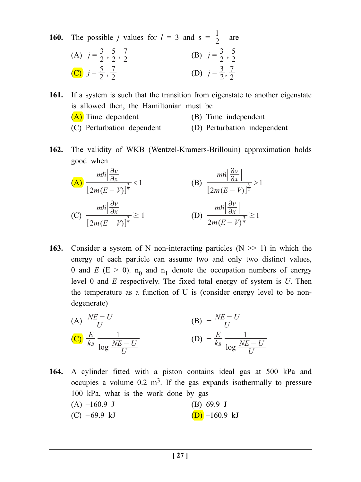**160.** The possible *j* values for  $l = 3$  and  $s = \frac{1}{2}$ are

(A) 
$$
j = \frac{3}{2}, \frac{5}{2}, \frac{7}{2}
$$
  
\n(B)  $j = \frac{3}{2}, \frac{5}{2}$   
\n(C)  $j = \frac{5}{2}, \frac{7}{2}$   
\n(D)  $j = \frac{3}{2}, \frac{7}{2}$ 

**161.** If a system is such that the transition from eigenstate to another eigenstate is allowed then, the Hamiltonian must be (A) Time dependent (B) Time independent (C) Perturbation dependent (D) Perturbation independent

**162.** The validity of WKB (Wentzel-Kramers-Brillouin) approximation holds good when

(A)

\n
$$
\frac{m\hbar \left| \frac{\partial v}{\partial x} \right|}{\left[ 2m(E - V) \right]^{\frac{3}{2}}} < 1
$$
\n(B)

\n
$$
\frac{m\hbar \left| \frac{\partial v}{\partial x} \right|}{\left[ 2m(E - V) \right]^{\frac{3}{2}}} > 1
$$
\n(C)

\n
$$
\frac{m\hbar \left| \frac{\partial v}{\partial x} \right|}{\left[ 2m(E - V) \right]^{\frac{3}{2}}} \ge 1
$$
\n(D)

\n
$$
\frac{m\hbar \left| \frac{\partial v}{\partial x} \right|}{\left[ 2m(E - V) \right]^{\frac{3}{2}}} \ge 1
$$

**163.** Consider a system of N non-interacting particles  $(N \gg 1)$  in which the energy of each particle can assume two and only two distinct values, 0 and *E* ( $E > 0$ ).  $n_0$  and  $n_1$  denote the occupation numbers of energy level 0 and *E* respectively. The fixed total energy of system is *U*. Then the temperature as a function of U is (consider energy level to be nondegenerate)

(A) 
$$
\frac{NE - U}{U}
$$
  
\n(B)  $-\frac{NE - U}{U}$   
\n(C)  $\frac{E}{k_B} \frac{1}{\log \frac{NE - U}{U}}$   
\n(D)  $-\frac{E}{k_B} \frac{1}{\log \frac{NE - U}{U}}$ 

**164.** A cylinder fitted with a piston contains ideal gas at 500 kPa and occupies a volume  $0.2 \text{ m}^3$ . If the gas expands isothermally to pressure 100 kPa, what is the work done by gas  $(A)$  –160.9 J (B) 69.9 J (C) –69.9 kJ (D) –160.9 kJ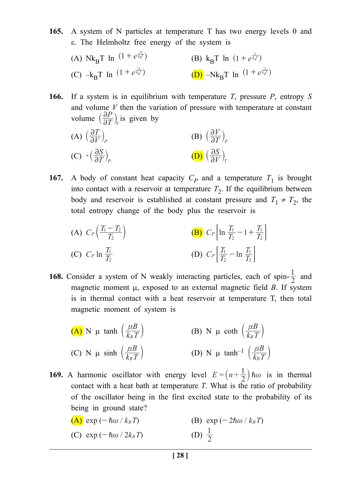**165.** A system of N particles at temperature T has two energy levels 0 and ε. The Helmholtz free energy of the system is

(A)  $Nk_{B}T \ln (1 + e^{\frac{-\epsilon}{k_{B}T}})$  $(1 + e^{\frac{\epsilon}{k_B T}})$  (B) k<sub>B</sub>T ln  $(1 + e^{\frac{\epsilon}{k_B T}})$ (C)  $-k_B T \ln (1 + e^{\frac{-\epsilon}{k_B T}})$  $(1 + e^{\frac{-\varepsilon}{k_B T}})$  (D) –Nk<sub>B</sub>T ln  $(1 + e^{\frac{-\varepsilon}{k_B T}})$ 

**166.** If a system is in equilibrium with temperature *T*, pressure *P*, entropy *S* and volume *V* then the variation of pressure with temperature at constant volume  $\left(\frac{\partial P}{\partial T}\right)$  $\left(\frac{\partial P}{\partial T}\right)_V$  is given by

(A) 
$$
\left(\frac{\partial T}{\partial V}\right)_P
$$
 (B)  $\left(\frac{\partial V}{\partial T}\right)_P$   
(C)  $-\left(\frac{\partial S}{\partial T}\right)_P$  (D)  $\left(\frac{\partial S}{\partial V}\right)_T$ 

**167.** A body of constant heat capacity  $C_p$  and a temperature  $T_1$  is brought into contact with a reservoir at temperature  $T_2$ . If the equilibrium between body and reservoir is established at constant pressure and  $T_1 \neq T_2$ , the total entropy change of the body plus the reservoir is

(A) 
$$
C_P\left(\frac{T_1 - T_2}{T_2}\right)
$$
  
\n(B)  $C_P\left[\ln \frac{T_1}{T_2} - 1 + \frac{T_1}{T_2}\right]$   
\n(C)  $C_P \ln \frac{T_1}{T_2}$   
\n(D)  $C_P\left[\frac{T_1}{T_2} - \ln \frac{T_1}{T_2}\right]$ 

**168.** Consider a system of N weakly interacting particles, each of spin- $\frac{1}{2}$  and magnetic moment µ, exposed to an external magnetic field *B*. If system is in thermal contact with a heat reservoir at temperature T, then total magnetic moment of system is

(A) N 
$$
\mu
$$
 tanh  $\left(\frac{\mu B}{k_B T}\right)$    
\n(B) N  $\mu$  coth  $\left(\frac{\mu B}{k_B T}\right)$   
\n(C) N  $\mu$  sinh  $\left(\frac{\mu B}{k_B T}\right)$   
\n(D) N  $\mu$  tanh<sup>-1</sup>  $\left(\frac{\mu B}{k_B T}\right)$ 

**169.** A harmonic oscillator with energy level  $E = (n + \frac{1}{2})\hbar\omega$  is in thermal contact with a heat bath at temperature *T*. What is the ratio of probability of the oscillator being in the first excited state to the probability of its being in ground state?

(A) 
$$
\exp(-\hbar\omega/k_BT)
$$
  
\n(B)  $\exp(-2\hbar\omega/k_BT)$   
\n(C)  $\exp(-\hbar\omega/2k_BT)$   
\n(D)  $\frac{1}{2}$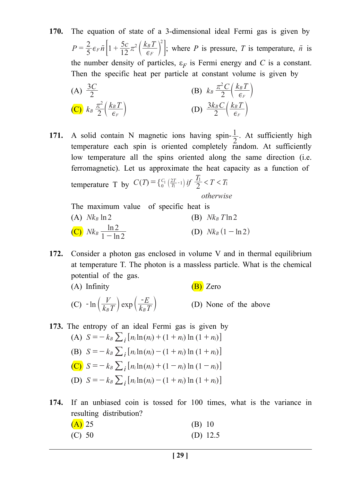**170.** The equation of state of a 3-dimensional ideal Fermi gas is given by  $P = \frac{2}{5} \epsilon_F \tilde{n} \left[ 1 + \frac{5c}{12} \pi^2 \left( \frac{k_B T}{\epsilon_F} \right) \right]$  $_2\left(\frac{k_BT}{\pi}\right)^2$  $=\frac{2}{5}\epsilon_F\tilde{n}\left[1+\frac{3C}{12}\pi^2\left(\frac{R_B T}{\epsilon_F}\right)\right]$ ; where *P* is pressure, *T* is temperature,  $\tilde{n}$  is the number density of particles,  $\varepsilon_F$  is Fermi energy and *C* is a constant. Then the specific heat per particle at constant volume is given by

(A) 
$$
\frac{3C}{2}
$$
  
\n(B)  $k_B \frac{\pi^2 C}{2} \left( \frac{k_B T}{\epsilon_F} \right)$   
\n(C)  $k_B \frac{\pi^2}{2} \left( \frac{k_B T}{\epsilon_F} \right)$   
\n(D)  $\frac{3k_B C}{2} \left( \frac{k_B T}{\epsilon_F} \right)$ 

**171.** A solid contain N magnetic ions having spin- $\frac{1}{2}$ . At sufficiently high temperature each spin is oriented completely random. At sufficiently low temperature all the spins oriented along the same direction (i.e. ferromagnetic). Let us approximate the heat capacity as a function of temperature T by  $C(T) = \left\{ \frac{C_1}{0} \left( \frac{2T}{T_1} - 1 \right) \text{ if } \frac{T_1}{2} < T < T_1 \right\}$ *otherwise*  $=\left\{ \frac{C_1}{0} \left( \frac{2T}{T_1} - 1 \right) \text{ if } \frac{I_1}{2} < T < T_1 \right\}$ 

The maximum value of specific heat is (A)  $Nk_B \ln 2$  (B)  $Nk_B T \ln 2$ (C)  $Nk_B \frac{\ln 2}{1 - \ln 2}$ **(D)**  $Nk_B$   $(1 - \ln 2)$ 

**172.** Consider a photon gas enclosed in volume V and in thermal equilibrium at temperature T. The photon is a massless particle. What is the chemical potential of the gas.

(A) Infinity  $(B)$  Zero (C)  $-\ln\left(\frac{V}{k_B T}\right)$  exp  $k_B T$ *E*  $-\ln\left(\frac{V}{k_B T}\right) \exp\left(\frac{-E}{k_B T}\right)$  (D) None of the above

- **173.** The entropy of an ideal Fermi gas is given by (A)  $S = -k_B \sum_i [n_i \ln(n_i) + (1 + n_i) \ln(1 + n_i)]$ (B)  $S = -k_B \sum_i [n_i \ln(n_i) - (1 + n_i) \ln(1 + n_i)]$ (C)  $S = -k_B \sum_i [n_i \ln(n_i) + (1 - n_i) \ln(1 - n_i)]$ (D)  $S = -k_B \sum_i [n_i \ln(n_i) - (1 + n_i) \ln(1 + n_i)]$
- **174.** If an unbiased coin is tossed for 100 times, what is the variance in resulting distribution?

| $(A)$ 25 | (B) 10     |
|----------|------------|
| (C) 50   | (D) $12.5$ |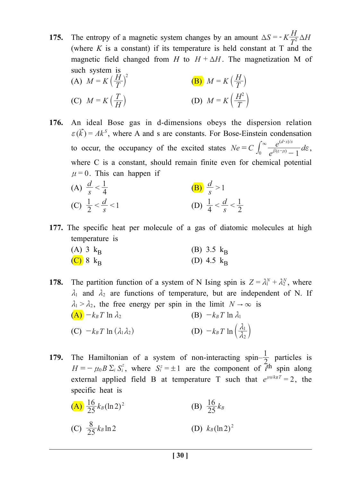**175.** The entropy of a magnetic system changes by an amount  $\Delta S = -K\frac{H}{T^2}\Delta H$ (where  $K$  is a constant) if its temperature is held constant at  $T$  and the magnetic field changed from *H* to  $H + \Delta H$ . The magnetization M of such system is  $H \setminus^2$  $\sqrt{H}$ 

(A) 
$$
M = K\left(\frac{H}{T}\right)^2
$$
  
\n(B)  $M = K\left(\frac{H}{T}\right)$   
\n(C)  $M = K\left(\frac{T}{H}\right)$   
\n(D)  $M = K\left(\frac{H^2}{T}\right)$ 

**176.** An ideal Bose gas in d-dimensions obeys the dispersion relation  $\epsilon(\vec{k}) = Ak^{S}$ , where A and s are constants. For Bose-Einstein condensation to occur, the occupancy of the excited states  $Ne = C$  $= C \int_0^\infty \frac{e^{(d-s)/s}}{e^{\beta(\varepsilon-\mu)}-1} d\varepsilon$  $\beta$  $\varepsilon$ - $\mu$ -  $\int_0^\infty \frac{e^{(a-s)s}}{e^{\beta(\varepsilon-\mu)}-1}d\varepsilon,$ where C is a constant, should remain finite even for chemical potential  $\mu$  = 0. This can happen if

(A) 
$$
\frac{d}{s} < \frac{1}{4}
$$
  
\n(B)  $\frac{d}{s} > 1$   
\n(C)  $\frac{1}{2} < \frac{d}{s} < 1$   
\n(D)  $\frac{1}{4} < \frac{d}{s} < \frac{1}{2}$ 

**177.** The specific heat per molecule of a gas of diatomic molecules at high temperature is

(A) 
$$
3 k_B
$$
  
\n(B)  $3.5 k_B$   
\n(C)  $8 k_B$   
\n(D)  $4.5 k_B$ 

- **178.** The partition function of a system of N Ising spin is  $Z = \lambda_1^N + \lambda_2^N$ , where  $\lambda_1$  and  $\lambda_2$  are functions of temperature, but are independent of N. If  $\lambda_1 > \lambda_2$ , the free energy per spin in the limit  $N \to \infty$  is  $(A)$   $-k_B T \ln \lambda_2$  (B)  $-k_B T \ln \lambda_1$ (C)  $-k_B T \ln (\lambda_1 \lambda_2)$ 2  $-k_B T \ln\left(\frac{\lambda_1}{\lambda_2}\right)$
- **179.** The Hamiltonian of a system of non-interacting spin– $\frac{1}{2}$  particles is  $H = -\mu_0 B \Sigma_i S_i^z$ , where  $S_i^z = \pm 1$  are the component of  $\tilde{i}^{\text{th}}$  spin along external applied field B at temperature T such that  $e^{\mu 0/k_BT} = 2$ , the specific heat is

(A) 
$$
\frac{16}{25}k_B(\ln 2)^2
$$
   
\n(B)  $\frac{16}{25}k_B$    
\n(C)  $\frac{8}{25}k_B\ln 2$    
\n(D)  $k_B(\ln 2)^2$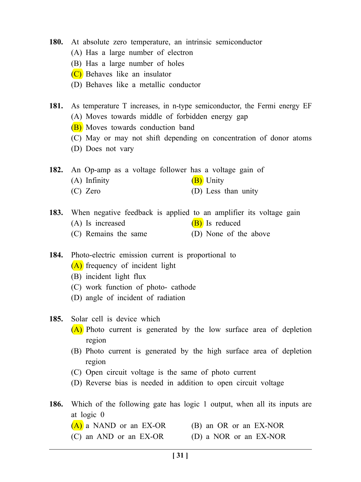- **180.** At absolute zero temperature, an intrinsic semiconductor
	- (A) Has a large number of electron
	- (B) Has a large number of holes
	- (C) Behaves like an insulator
	- (D) Behaves like a metallic conductor
- **181.** As temperature T increases, in n-type semiconductor, the Fermi energy EF (A) Moves towards middle of forbidden energy gap
	- (B) Moves towards conduction band
	- (C) May or may not shift depending on concentration of donor atoms
	- (D) Does not vary
- **182.** An Op-amp as a voltage follower has a voltage gain of (A) Infinity  $(B)$  Unity
	- (C) Zero (D) Less than unity
- **183.** When negative feedback is applied to an amplifier its voltage gain (A) Is increased  $(B)$  Is reduced (C) Remains the same (D) None of the above
- **184.** Photo-electric emission current is proportional to
	- (A) frequency of incident light
	- (B) incident light flux
	- (C) work function of photo- cathode
	- (D) angle of incident of radiation
- **185.** Solar cell is device which
	- (A) Photo current is generated by the low surface area of depletion region
	- (B) Photo current is generated by the high surface area of depletion region
	- (C) Open circuit voltage is the same of photo current
	- (D) Reverse bias is needed in addition to open circuit voltage
- **186.** Which of the following gate has logic 1 output, when all its inputs are at logic 0
	- $(A)$  a NAND or an EX-OR (B) an OR or an EX-NOR
	- (C) an AND or an EX-OR (D) a NOR or an EX-NOR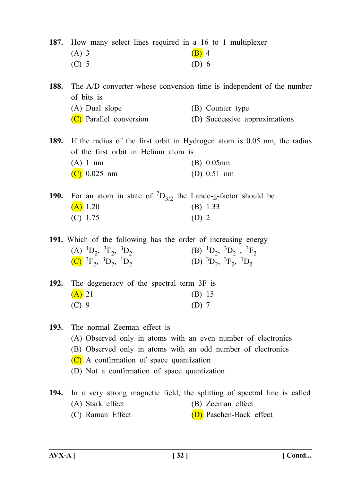**187.** How many select lines required in a 16 to 1 multiplexer

| $(A)$ 3 | $(B)$ 4 |
|---------|---------|
| $(C)$ 5 | $(D)$ 6 |

**188.** The A/D converter whose conversion time is independent of the number of bits is

- (A) Dual slope (B) Counter type
- (C) Parallel conversion (D) Successive approximations
- **189.** If the radius of the first orbit in Hydrogen atom is 0.05 nm, the radius of the first orbit in Helium atom is (A) 1 nm (B) 0.05nm (C) 0.025 nm (D) 0.51 nm
- **190.** For an atom in state of  ${}^{2}D_{3/2}$  the Lande-g-factor should be  $(A)$  1.20 (B) 1.33 (C) 1.75 (D) 2

**191.** Which of the following has the order of increasing energy (A)  ${}^{1}D_{2}$ ,  ${}^{3}F_{2}$ ,  ${}^{3}D_{2}$  (B)  ${}^{1}D_{2}$ ,  ${}^{3}F_{2}$ (C)  ${}^{3}F_{2}$ ,  ${}^{3}D_{2}$ ,  ${}^{1}D_{2}$  (D)  ${}^{3}D_{2}$ ,  ${}^{3}F_{2}$ ,  ${}^{1}D_{2}$ 

| 192. The degeneracy of the spectral term 3F is |  |         |
|------------------------------------------------|--|---------|
| $(A)$ 21                                       |  | (B) 15  |
| $(C)$ 9                                        |  | $(D)$ 7 |

**193.** The normal Zeeman effect is

- (A) Observed only in atoms with an even number of electronics
- (B) Observed only in atoms with an odd number of electronics
- (C) A confirmation of space quantization
- (D) Not a confirmation of space quantization
- **194.** In a very strong magnetic field, the splitting of spectral line is called (A) Stark effect (B) Zeeman effect
	- (C) Raman Effect  $(D)$  Paschen-Back effect